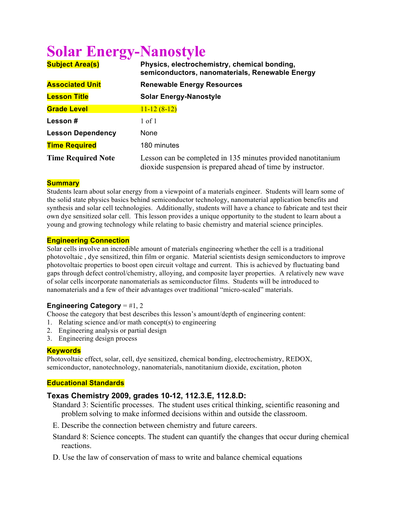# **Solar Energy-Nanostyle**

| <b>Subject Area(s)</b>    | Physics, electrochemistry, chemical bonding,<br>semiconductors, nanomaterials, Renewable Energy                             |
|---------------------------|-----------------------------------------------------------------------------------------------------------------------------|
| <b>Associated Unit</b>    | <b>Renewable Energy Resources</b>                                                                                           |
| <b>Lesson Title</b>       | <b>Solar Energy-Nanostyle</b>                                                                                               |
| <b>Grade Level</b>        | $11 - 12(8 - 12)$                                                                                                           |
| Lesson #                  | 1 of 1                                                                                                                      |
| <b>Lesson Dependency</b>  | None                                                                                                                        |
| <b>Time Required</b>      | 180 minutes                                                                                                                 |
| <b>Time Required Note</b> | Lesson can be completed in 135 minutes provided nanotitanium<br>dioxide suspension is prepared ahead of time by instructor. |

## **Summary**

Students learn about solar energy from a viewpoint of a materials engineer. Students will learn some of the solid state physics basics behind semiconductor technology, nanomaterial application benefits and synthesis and solar cell technologies. Additionally, students will have a chance to fabricate and test their own dye sensitized solar cell. This lesson provides a unique opportunity to the student to learn about a young and growing technology while relating to basic chemistry and material science principles.

### **Engineering Connection**

Solar cells involve an incredible amount of materials engineering whether the cell is a traditional photovoltaic , dye sensitized, thin film or organic. Material scientists design semiconductors to improve photovoltaic properties to boost open circuit voltage and current. This is achieved by fluctuating band gaps through defect control/chemistry, alloying, and composite layer properties. A relatively new wave of solar cells incorporate nanomaterials as semiconductor films. Students will be introduced to nanomaterials and a few of their advantages over traditional "micro-scaled" materials.

## **Engineering Category** = #1, 2

Choose the category that best describes this lesson's amount/depth of engineering content:

- 1. Relating science and/or math concept(s) to engineering
- 2. Engineering analysis or partial design
- 3. Engineering design process

#### **Keywords**

Photovoltaic effect, solar, cell, dye sensitized, chemical bonding, electrochemistry, REDOX, semiconductor, nanotechnology, nanomaterials, nanotitanium dioxide, excitation, photon

## **Educational Standards**

## **Texas Chemistry 2009, grades 10-12, 112.3.E, 112.8.D:**

- Standard 3: Scientific processes. The student uses critical thinking, scientific reasoning and problem solving to make informed decisions within and outside the classroom.
- E. Describe the connection between chemistry and future careers.
- Standard 8: Science concepts. The student can quantify the changes that occur during chemical reactions.
- D. Use the law of conservation of mass to write and balance chemical equations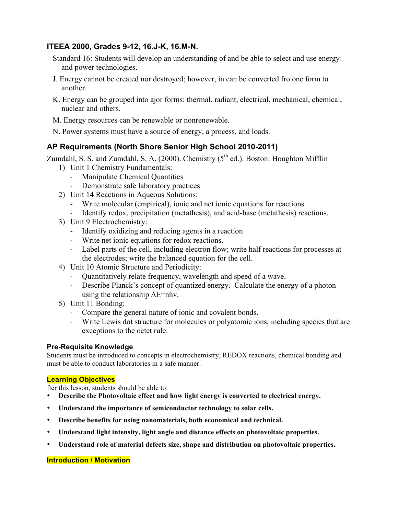# **ITEEA 2000, Grades 9-12, 16.J-K, 16.M-N.**

- Standard 16: Students will develop an understanding of and be able to select and use energy and power technologies.
- J. Energy cannot be created nor destroyed; however, in can be converted fro one form to another.
- K. Energy can be grouped into ajor forms: thermal, radiant, electrical, mechanical, chemical, nuclear and others.
- M. Energy resources can be renewable or nonrenewable.
- N. Power systems must have a source of energy, a process, and loads.

# **AP Requirements (North Shore Senior High School 2010-2011)**

Zumdahl, S. S. and Zumdahl, S. A. (2000). Chemistry  $(5<sup>th</sup>$  ed.). Boston: Houghton Mifflin

- 1) Unit 1 Chemistry Fundamentals:
	- Manipulate Chemical Quantities
	- Demonstrate safe laboratory practices
- 2) Unit 14 Reactions in Aqueous Solutions:
	- ! Write molecular (empirical), ionic and net ionic equations for reactions.
	- ! Identify redox, precipitation (metathesis), and acid-base (metathesis) reactions.
- 3) Unit 9 Electrochemistry:
	- ! Identify oxidizing and reducing agents in a reaction
	- ! Write net ionic equations for redox reactions.
	- ! Label parts of the cell, including electron flow; write half reactions for processes at the electrodes; write the balanced equation for the cell.
- 4) Unit 10 Atomic Structure and Periodicity:
	- ! Quantitatively relate frequency, wavelength and speed of a wave.
	- ! Describe Planck's concept of quantized energy. Calculate the energy of a photon using the relationship  $\Delta E = nhv$ .
- 5) Unit 11 Bonding:
	- ! Compare the general nature of ionic and covalent bonds.
	- ! Write Lewis dot structure for molecules or polyatomic ions, including species that are exceptions to the octet rule.

## **Pre-Requisite Knowledge**

Students must be introduced to concepts in electrochemistry, REDOX reactions, chemical bonding and must be able to conduct laboratories in a safe manner.

## **Learning Objectives**

fter this lesson, students should be able to:

- **Describe the Photovoltaic effect and how light energy is converted to electrical energy.**
- **Understand the importance of semiconductor technology to solar cells.**
- **Describe benefits for using nanomaterials, both economical and technical.**
- **Understand light intensity, light angle and distance effects on photovoltaic properties.**
- **Understand role of material defects size, shape and distribution on photovoltaic properties.**

## **Introduction / Motivation**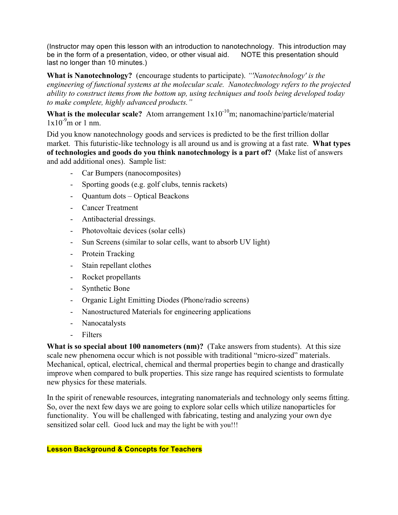(Instructor may open this lesson with an introduction to nanotechnology. This introduction may be in the form of a presentation, video, or other visual aid. NOTE this presentation should last no longer than 10 minutes.)

**What is Nanotechnology?** (encourage students to participate). *"'Nanotechnology' is the engineering of functional systems at the molecular scale. Nanotechnology refers to the projected ability to construct items from the bottom up, using techniques and tools being developed today to make complete, highly advanced products."*

**What is the molecular scale?** Atom arrangement  $1x10^{-10}$ m; nanomachine/particle/material  $1x10^{-9}$ m or 1 nm.

Did you know nanotechnology goods and services is predicted to be the first trillion dollar market. This futuristic-like technology is all around us and is growing at a fast rate. **What types of technologies and goods do you think nanotechnology is a part of?** (Make list of answers and add additional ones). Sample list:

- Car Bumpers (nanocomposites)
- Sporting goods (e.g. golf clubs, tennis rackets)
- Quantum dots Optical Beackons
- Cancer Treatment
- Antibacterial dressings.
- Photovoltaic devices (solar cells)
- Sun Screens (similar to solar cells, want to absorb UV light)
- Protein Tracking
- Stain repellant clothes
- Rocket propellants
- Synthetic Bone
- Organic Light Emitting Diodes (Phone/radio screens)
- Nanostructured Materials for engineering applications
- Nanocatalysts
- Filters

**What is so special about 100 nanometers (nm)?** (Take answers from students). At this size scale new phenomena occur which is not possible with traditional "micro-sized" materials. Mechanical, optical, electrical, chemical and thermal properties begin to change and drastically improve when compared to bulk properties. This size range has required scientists to formulate new physics for these materials.

In the spirit of renewable resources, integrating nanomaterials and technology only seems fitting. So, over the next few days we are going to explore solar cells which utilize nanoparticles for functionality. You will be challenged with fabricating, testing and analyzing your own dye sensitized solar cell. Good luck and may the light be with you!!!

## **Lesson Background & Concepts for Teachers**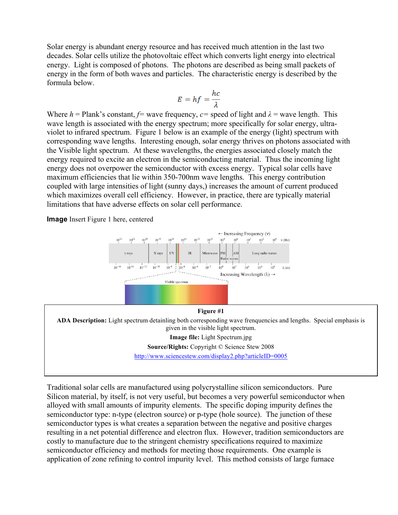Solar energy is abundant energy resource and has received much attention in the last two decades. Solar cells utilize the photovoltaic effect which converts light energy into electrical energy. Light is composed of photons. The photons are described as being small packets of energy in the form of both waves and particles. The characteristic energy is described by the formula below.

$$
E = hf = \frac{hc}{\lambda}
$$

Where  $h =$  Plank's constant,  $f=$  wave frequency,  $c=$  speed of light and  $\lambda =$  wave length. This wave length is associated with the energy spectrum; more specifically for solar energy, ultraviolet to infrared spectrum. Figure 1 below is an example of the energy (light) spectrum with corresponding wave lengths. Interesting enough, solar energy thrives on photons associated with the Visible light spectrum. At these wavelengths, the energies associated closely match the energy required to excite an electron in the semiconducting material. Thus the incoming light energy does not overpower the semiconductor with excess energy. Typical solar cells have maximum efficiencies that lie within 350-700nm wave lengths. This energy contribution coupled with large intensities of light (sunny days,) increases the amount of current produced which maximizes overall cell efficiency. However, in practice, there are typically material limitations that have adverse effects on solar cell performance.

**Image** Insert Figure 1 here, centered



Traditional solar cells are manufactured using polycrystalline silicon semiconductors. Pure Silicon material, by itself, is not very useful, but becomes a very powerful semiconductor when alloyed with small amounts of impurity elements. The specific doping impurity defines the semiconductor type: n-type (electron source) or p-type (hole source). The junction of these semiconductor types is what creates a separation between the negative and positive charges resulting in a net potential difference and electron flux. However, tradition semiconductors are costly to manufacture due to the stringent chemistry specifications required to maximize semiconductor efficiency and methods for meeting those requirements. One example is application of zone refining to control impurity level. This method consists of large furnace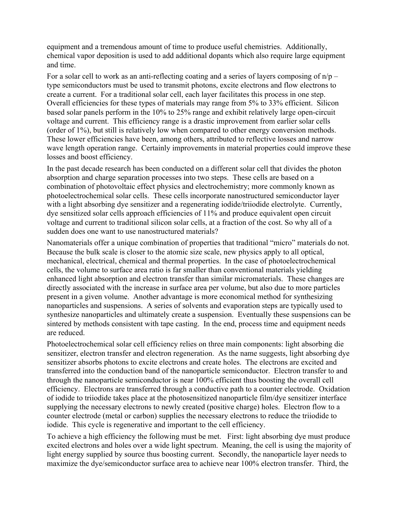equipment and a tremendous amount of time to produce useful chemistries. Additionally, chemical vapor deposition is used to add additional dopants which also require large equipment and time.

For a solar cell to work as an anti-reflecting coating and a series of layers composing of  $n/p$ type semiconductors must be used to transmit photons, excite electrons and flow electrons to create a current. For a traditional solar cell, each layer facilitates this process in one step. Overall efficiencies for these types of materials may range from 5% to 33% efficient. Silicon based solar panels perform in the 10% to 25% range and exhibit relatively large open-circuit voltage and current. This efficiency range is a drastic improvement from earlier solar cells (order of 1%), but still is relatively low when compared to other energy conversion methods. These lower efficiencies have been, among others, attributed to reflective losses and narrow wave length operation range. Certainly improvements in material properties could improve these losses and boost efficiency.

In the past decade research has been conducted on a different solar cell that divides the photon absorption and charge separation processes into two steps. These cells are based on a combination of photovoltaic effect physics and electrochemistry; more commonly known as photoelectrochemical solar cells. These cells incorporate nanostructured semiconductor layer with a light absorbing dye sensitizer and a regenerating iodide/triiodide electrolyte. Currently, dye sensitized solar cells approach efficiencies of 11% and produce equivalent open circuit voltage and current to traditional silicon solar cells, at a fraction of the cost. So why all of a sudden does one want to use nanostructured materials?

Nanomaterials offer a unique combination of properties that traditional "micro" materials do not. Because the bulk scale is closer to the atomic size scale, new physics apply to all optical, mechanical, electrical, chemical and thermal properties. In the case of photoelectrochemical cells, the volume to surface area ratio is far smaller than conventional materials yielding enhanced light absorption and electron transfer than similar micromaterials. These changes are directly associated with the increase in surface area per volume, but also due to more particles present in a given volume. Another advantage is more economical method for synthesizing nanoparticles and suspensions. A series of solvents and evaporation steps are typically used to synthesize nanoparticles and ultimately create a suspension. Eventually these suspensions can be sintered by methods consistent with tape casting. In the end, process time and equipment needs are reduced.

Photoelectrochemical solar cell efficiency relies on three main components: light absorbing die sensitizer, electron transfer and electron regeneration. As the name suggests, light absorbing dye sensitizer absorbs photons to excite electrons and create holes. The electrons are excited and transferred into the conduction band of the nanoparticle semiconductor. Electron transfer to and through the nanoparticle semiconductor is near 100% efficient thus boosting the overall cell efficiency. Electrons are transferred through a conductive path to a counter electrode. Oxidation of iodide to triiodide takes place at the photosensitized nanoparticle film/dye sensitizer interface supplying the necessary electrons to newly created (positive charge) holes. Electron flow to a counter electrode (metal or carbon) supplies the necessary electrons to reduce the triiodide to iodide. This cycle is regenerative and important to the cell efficiency.

To achieve a high efficiency the following must be met. First: light absorbing dye must produce excited electrons and holes over a wide light spectrum. Meaning, the cell is using the majority of light energy supplied by source thus boosting current. Secondly, the nanoparticle layer needs to maximize the dye/semiconductor surface area to achieve near 100% electron transfer. Third, the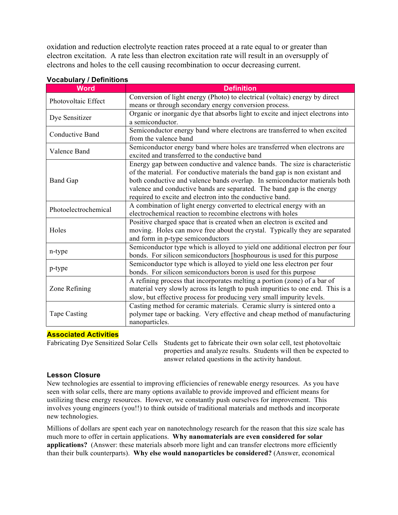oxidation and reduction electrolyte reaction rates proceed at a rate equal to or greater than electron excitation. A rate less than electron excitation rate will result in an oversupply of electrons and holes to the cell causing recombination to occur decreasing current.

| <b>Word</b>            | <b>Definition</b>                                                               |
|------------------------|---------------------------------------------------------------------------------|
| Photovoltaic Effect    | Conversion of light energy (Photo) to electrical (voltaic) energy by direct     |
|                        | means or through secondary energy conversion process.                           |
| Dye Sensitizer         | Organic or inorganic dye that absorbs light to excite and inject electrons into |
|                        | a semiconductor.                                                                |
| <b>Conductive Band</b> | Semiconductor energy band where electrons are transferred to when excited       |
|                        | from the valence band                                                           |
| Valence Band           | Semiconductor energy band where holes are transferred when electrons are        |
|                        | excited and transferred to the conductive band                                  |
| <b>Band Gap</b>        | Energy gap between conductive and valence bands. The size is characteristic     |
|                        | of the material. For conductive materials the band gap is non existant and      |
|                        | both conductive and valence bands overlap. In semiconductor matierals both      |
|                        | valence and conductive bands are separated. The band gap is the energy          |
|                        | required to excite and electron into the conductive band.                       |
| Photoelectrochemical   | A combination of light energy converted to electrical energy with an            |
|                        | electrochemical reaction to recombine electrons with holes                      |
| Holes                  | Positive charged space that is created when an electron is excited and          |
|                        | moving. Holes can move free about the crystal. Typically they are separated     |
|                        | and form in p-type semiconductors                                               |
| n-type                 | Semiconductor type which is alloyed to yield one additional electron per four   |
|                        | bonds. For silicon semiconductors [hosphourous is used for this purpose         |
| p-type                 | Semiconductor type which is alloyed to yield one less electron per four         |
|                        | bonds. For silicon semiconductors boron is used for this purpose                |
| Zone Refining          | A refining process that incorporates melting a portion (zone) of a bar of       |
|                        | material very slowly across its length to push impurities to one end. This is a |
|                        | slow, but effective process for producing very small impurity levels.           |
| Tape Casting           | Casting method for ceramic materials. Ceramic slurry is sintered onto a         |
|                        | polymer tape or backing. Very effective and cheap method of manufacturing       |
|                        | nanoparticles.                                                                  |

## **Vocabulary / Definitions**

#### **Associated Activities**

Fabricating Dye Sensitized Solar Cells Students get to fabricate their own solar cell, test photovoltaic properties and analyze results. Students will then be expected to answer related questions in the activity handout.

## **Lesson Closure**

New technologies are essential to improving efficiencies of renewable energy resources. As you have seen with solar cells, there are many options available to provide improved and efficient means for ustilizing these energy resources. However, we constantly push ourselves for improvement. This involves young engineers (you!!) to think outside of traditional materials and methods and incorporate new technologies.

Millions of dollars are spent each year on nanotechnology research for the reason that this size scale has much more to offer in certain applications. **Why nanomaterials are even considered for solar applications?** (Answer: these materials absorb more light and can transfer electrons more efficiently than their bulk counterparts). **Why else would nanoparticles be considered?** (Answer, economical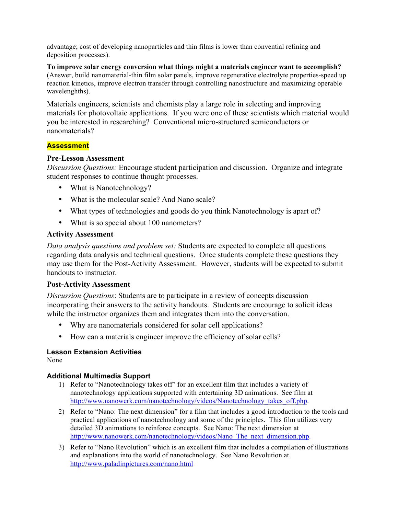advantage; cost of developing nanoparticles and thin films is lower than convential refining and deposition processes).

**To improve solar energy conversion what things might a materials engineer want to accomplish?** (Answer, build nanomaterial-thin film solar panels, improve regenerative electrolyte properties-speed up reaction kinetics, improve electron transfer through controlling nanostructure and maximizing operable wavelenghths).

Materials engineers, scientists and chemists play a large role in selecting and improving materials for photovoltaic applications. If you were one of these scientists which material would you be interested in researching? Conventional micro-structured semiconductors or nanomaterials?

## **Assessment**

## **Pre-Lesson Assessment**

*Discussion Questions:* Encourage student participation and discussion. Organize and integrate student responses to continue thought processes.

- What is Nanotechnology?
- What is the molecular scale? And Nano scale?
- What types of technologies and goods do you think Nanotechnology is apart of?
- What is so special about 100 nanometers?

## **Activity Assessment**

*Data analysis questions and problem set:* Students are expected to complete all questions regarding data analysis and technical questions. Once students complete these questions they may use them for the Post-Activity Assessment. However, students will be expected to submit handouts to instructor.

# **Post-Activity Assessment**

*Discussion Questions*: Students are to participate in a review of concepts discussion incorporating their answers to the activity handouts. Students are encourage to solicit ideas while the instructor organizes them and integrates them into the conversation.

- Why are nanomaterials considered for solar cell applications?
- How can a materials engineer improve the efficiency of solar cells?

# **Lesson Extension Activities**

None

## **Additional Multimedia Support**

- 1) Refer to "Nanotechnology takes off" for an excellent film that includes a variety of nanotechnology applications supported with entertaining 3D animations. See film at http://www.nanowerk.com/nanotechnology/videos/Nanotechnology\_takes\_off.php.
- 2) Refer to "Nano: The next dimension" for a film that includes a good introduction to the tools and practical applications of nanotechnology and some of the principles. This film utilizes very detailed 3D animations to reinforce concepts. See Nano: The next dimension at http://www.nanowerk.com/nanotechnology/videos/Nano\_The\_next\_dimension.php.
- 3) Refer to "Nano Revolution" which is an excellent film that includes a compilation of illustrations and explanations into the world of nanotechnology. See Nano Revolution at http://www.paladinpictures.com/nano.html